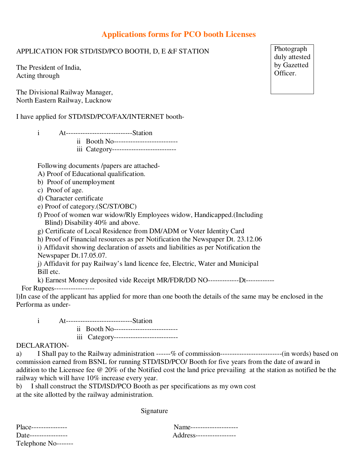# **Applications forms for PCO booth Licenses**

## APPLICATION FOR STD/ISD/PCO BOOTH, D, E &F STATION

The President of India, Acting through

The Divisional Railway Manager, North Eastern Railway, Lucknow

I have applied for STD/ISD/PCO/FAX/INTERNET booth-

| At-----------------------------Station    |
|-------------------------------------------|
| ii Booth No----------------------------   |
| iii Category----------------------------- |

Following documents /papers are attached-

- A) Proof of Educational qualification.
- b) Proof of unemployment
- c) Proof of age.
- d) Character certificate
- e) Proof of category.(SC/ST/OBC)
- f) Proof of women war widow/Rly Employees widow, Handicapped.(Including Blind) Disability 40% and above.
- g) Certificate of Local Residence from DM/ADM or Voter Identity Card

 h) Proof of Financial resources as per Notification the Newspaper Dt. 23.12.06 i) Affidavit showing declaration of assets and liabilities as per Notification the

Newspaper Dt.17.05.07.

 j) Affidavit for pay Railway's land licence fee, Electric, Water and Municipal Bill etc.

 k) Earnest Money deposited vide Receipt MR/FDR/DD NO-------------Dt------------ For Rupees-----------------

l)In case of the applicant has applied for more than one booth the details of the same may be enclosed in the Performa as under-

- i At----------------------------Station
	- ii Booth No-------------------------- iii Category---------------------------

### DECLARATION-

a) I Shall pay to the Railway administration ------% of commission--------------------------(in words) based on commission earned from BSNL for running STD/ISD/PCO/ Booth for five years from the date of award in addition to the Licensee fee @ 20% of the Notified cost the land price prevailing at the station as notified be the railway which will have 10% increase every year.

b) I shall construct the STD/ISD/PCO Booth as per specifications as my own cost at the site allotted by the railway administration.

Signature

Telephone No-------

Place--------------- Name-------------------- Address------------------

Photograph duly attested by Gazetted Officer.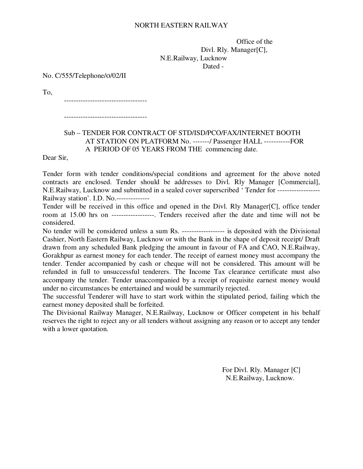#### NORTH EASTERN RAILWAY

 Office of the Divl. Rly. Manager[C], N.E.Railway, Lucknow Dated -

No. C/555/Telephone/o/02/II

To,

-----------------------------------

-----------------------------------

### Sub – TENDER FOR CONTRACT OF STD/ISD/PCO/FAX/INTERNET BOOTH AT STATION ON PLATFORM No. -------/ Passenger HALL -----------FOR A PERIOD OF 05 YEARS FROM THE commencing date.

Dear Sir,

Tender form with tender conditions/special conditions and agreement for the above noted contracts are enclosed. Tender should be addresses to Divl. Rly Manager [Commercial], N.E.Railway, Lucknow and submitted in a sealed cover superscribed ' Tender for ------------------ Railway station'. I.D. No.--------------

Tender will be received in this office and opened in the Divl. Rly Manager[C], office tender room at 15.00 hrs on ------------------. Tenders received after the date and time will not be considered.

No tender will be considered unless a sum Rs. ------------------ is deposited with the Divisional Cashier, North Eastern Railway, Lucknow or with the Bank in the shape of deposit receipt/ Draft drawn from any scheduled Bank pledging the amount in favour of FA and CAO, N.E.Railway, Gorakhpur as earnest money for each tender. The receipt of earnest money must accompany the tender. Tender accompanied by cash or cheque will not be considered. This amount will be refunded in full to unsuccessful tenderers. The Income Tax clearance certificate must also accompany the tender. Tender unaccompanied by a receipt of requisite earnest money would under no circumstances be entertained and would be summarily rejected.

The successful Tenderer will have to start work within the stipulated period, failing which the earnest money deposited shall be forfeited.

The Divisional Railway Manager, N.E.Railway, Lucknow or Officer competent in his behalf reserves the right to reject any or all tenders without assigning any reason or to accept any tender with a lower quotation.

> For Divl. Rly. Manager [C] N.E.Railway, Lucknow.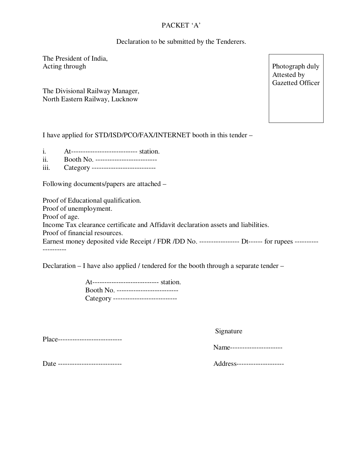# PACKET 'A'

Declaration to be submitted by the Tenderers.

The President of India, Acting through

The Divisional Railway Manager, North Eastern Railway, Lucknow

Photograph duly Attested by Gazetted Officer

I have applied for STD/ISD/PCO/FAX/INTERNET booth in this tender –

- i. At---------------------------- station.
- ii. Booth No. --------------------------
- iii. Category ---------------------------

Following documents/papers are attached –

Proof of Educational qualification. Proof of unemployment. Proof of age. Income Tax clearance certificate and Affidavit declaration assets and liabilities. Proof of financial resources. Earnest money deposited vide Receipt / FDR /DD No. ------------------ Dt------ for rupees -------------------

Declaration – I have also applied / tendered for the booth through a separate tender –

At---------------------------- station. Booth No. -------------------------- Category ---------------------------

Place----------------------------

Signature

Name----------------------

Date --------------------------- Address--------------------